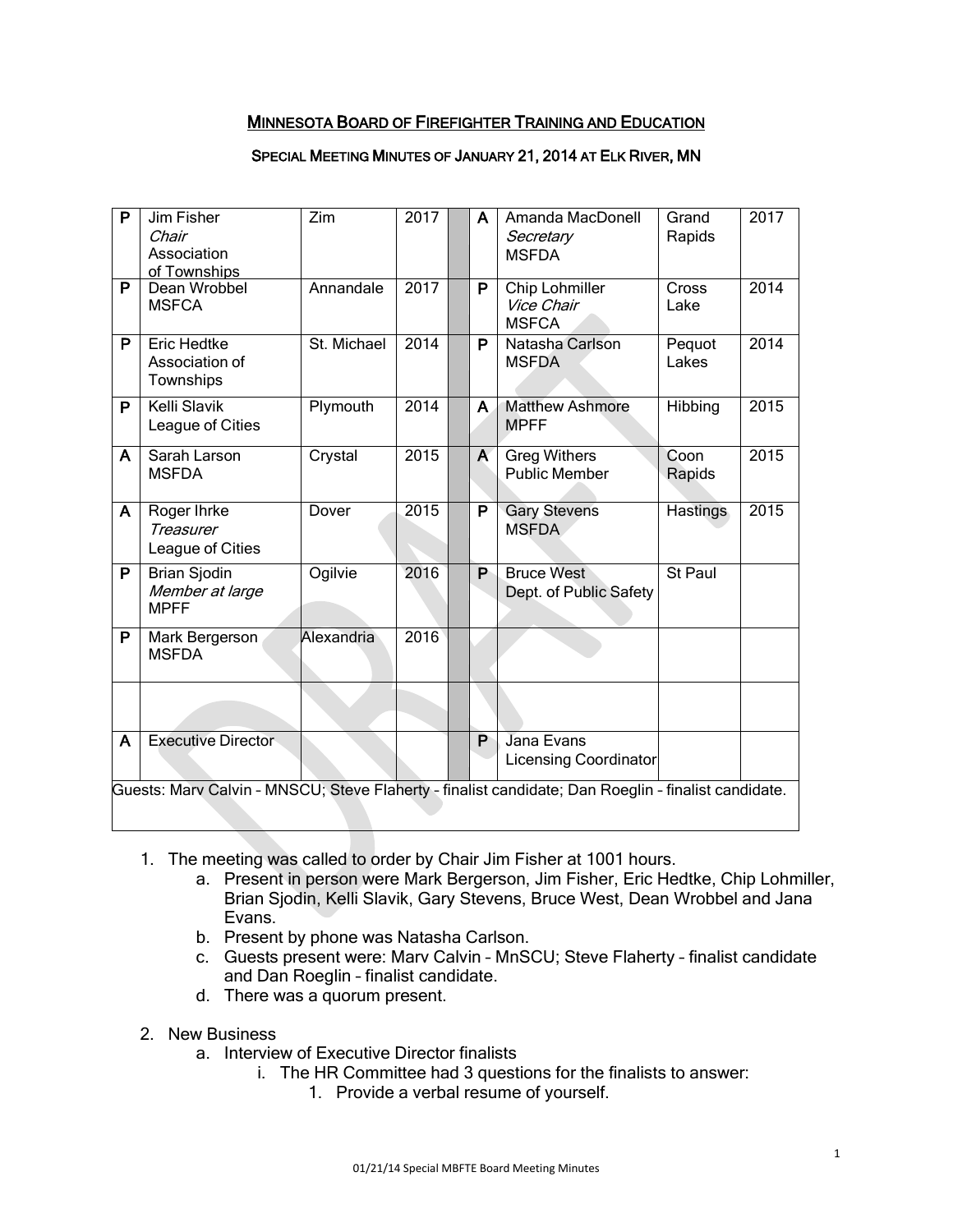# MINNESOTA BOARD OF FIREFIGHTER TRAINING AND EDUCATION

#### SPECIAL MEETING MINUTES OF JANUARY 21, 2014 AT ELK RIVER, MN

| P                                                                                                   | Jim Fisher<br>Chair<br>Association<br>of Townships    | Zim         | 2017 |  | A                       | Amanda MacDonell<br>Secretary<br><b>MSFDA</b> | Grand<br>Rapids      | 2017 |  |
|-----------------------------------------------------------------------------------------------------|-------------------------------------------------------|-------------|------|--|-------------------------|-----------------------------------------------|----------------------|------|--|
| P                                                                                                   | Dean Wrobbel<br><b>MSFCA</b>                          | Annandale   | 2017 |  | P                       | Chip Lohmiller<br>Vice Chair<br><b>MSFCA</b>  | <b>Cross</b><br>Lake | 2014 |  |
| P                                                                                                   | <b>Eric Hedtke</b><br>Association of<br>Townships     | St. Michael | 2014 |  | P                       | Natasha Carlson<br><b>MSFDA</b>               | Pequot<br>Lakes      | 2014 |  |
| P                                                                                                   | Kelli Slavik<br>League of Cities                      | Plymouth    | 2014 |  | A                       | <b>Matthew Ashmore</b><br><b>MPFF</b>         | Hibbing              | 2015 |  |
| A                                                                                                   | Sarah Larson<br><b>MSFDA</b>                          | Crystal     | 2015 |  | A                       | <b>Greg Withers</b><br><b>Public Member</b>   | Coon<br>Rapids       | 2015 |  |
| A                                                                                                   | Roger Ihrke<br>Treasurer<br>League of Cities          | Dover       | 2015 |  | $\overline{\mathsf{P}}$ | <b>Gary Stevens</b><br><b>MSFDA</b>           | <b>Hastings</b>      | 2015 |  |
| P                                                                                                   | <b>Brian Sjodin</b><br>Member at large<br><b>MPFF</b> | Ogilvie     | 2016 |  | P                       | <b>Bruce West</b><br>Dept. of Public Safety   | St Paul              |      |  |
| P                                                                                                   | Mark Bergerson<br><b>MSFDA</b>                        | Alexandria  | 2016 |  |                         |                                               |                      |      |  |
|                                                                                                     |                                                       |             |      |  |                         |                                               |                      |      |  |
| A                                                                                                   | <b>Executive Director</b>                             |             |      |  | P                       | Jana Evans<br><b>Licensing Coordinator</b>    |                      |      |  |
| Guests: Marv Calvin - MNSCU; Steve Flaherty - finalist candidate; Dan Roeglin - finalist candidate. |                                                       |             |      |  |                         |                                               |                      |      |  |

- 1. The meeting was called to order by Chair Jim Fisher at 1001 hours.
	- a. Present in person were Mark Bergerson, Jim Fisher, Eric Hedtke, Chip Lohmiller, Brian Sjodin, Kelli Slavik, Gary Stevens, Bruce West, Dean Wrobbel and Jana Evans.
	- b. Present by phone was Natasha Carlson.
	- c. Guests present were: Marv Calvin MnSCU; Steve Flaherty finalist candidate and Dan Roeglin – finalist candidate.
	- d. There was a quorum present.
- 2. New Business
	- a. Interview of Executive Director finalists
		- i. The HR Committee had 3 questions for the finalists to answer:
			- 1. Provide a verbal resume of yourself.